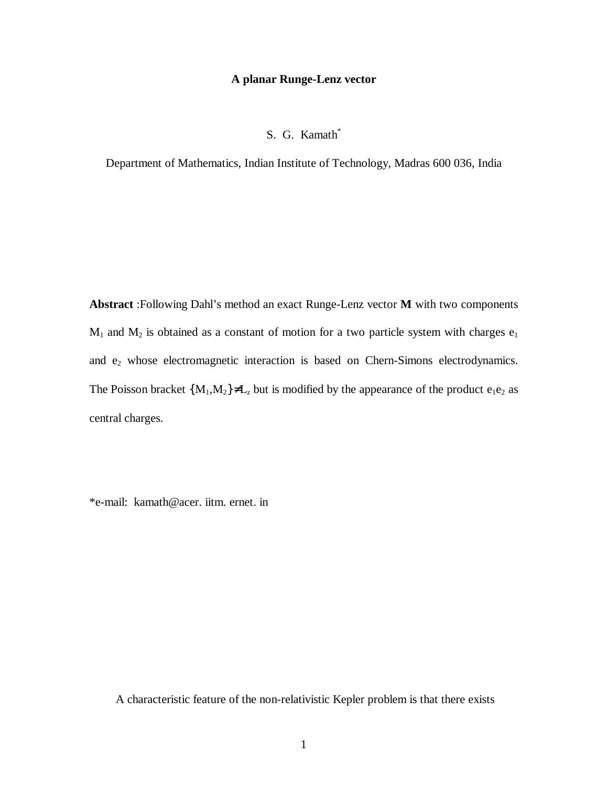## A planar Runge-Lenz vector

## S. G. Kamath<sup>\*</sup>

Department of Mathematics, Indian Institute of Technology, Madras 600 036, India

Abstract :Following Dahl's method an exact Runge-Lenz vector M with two components  $M_1$  and  $M_2$  is obtained as a constant of motion for a two particle system with charges  $e_1$ and e<sub>2</sub> whose electromagnetic interaction is based on Chern-Simons electrodynamics. The Poisson bracket  ${M_1, M_2} \neq L_z$  but is modified by the appearance of the product  $e_1e_2$  as central charges.

\*e-mail: kamath@acer. iitm. ernet. in

A characteristic feature of the non-relativistic Kepler problem is that there exists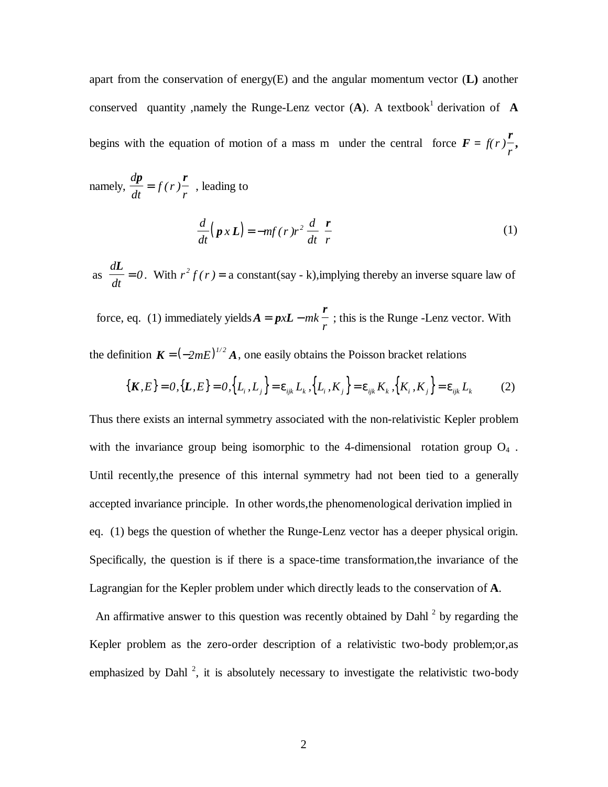apart from the conservation of energy(E) and the angular momentum vector (**L)** another conserved quantity ,namely the Runge-Lenz vector (**A**). A textbook <sup>1</sup>derivation of **A** begins with the equation of motion of a mass m under the central force  $\vec{F}$  = *r f( ) r r* **,**

namely, 
$$
\frac{dp}{dt} = f(r)\frac{r}{r}
$$
, leading to  

$$
\frac{d}{dt}(p \times L) = -mf(r)r^2 \frac{d}{dt} \left(\frac{r}{r}\right)
$$
(1)

as *d dt L*  $= 0$ . With  $r^2 f(r) = a$  constant(say - k), implying thereby an inverse square law of

force, eq. (1) immediately yields  $A = p x L$ *r*  $= p x L - mk$ *r* ; this is the Runge -Lenz vector. With the definition  $K = \left(-2mE\right)^{1/2} A$ , one easily obtains the Poisson bracket relations

$$
\{K, E\} = 0, \{L, E\} = 0, \{L_i, L_j\} = \varepsilon_{ijk} L_k, \{L_i, K_j\} = \varepsilon_{ijk} K_k, \{K_i, K_j\} = \varepsilon_{ijk} L_k
$$
 (2)

Thus there exists an internal symmetry associated with the non-relativistic Kepler problem with the invariance group being isomorphic to the 4-dimensional rotation group  $O_4$ . Until recently,the presence of this internal symmetry had not been tied to a generally accepted invariance principle. In other words,the phenomenological derivation implied in eq. (1) begs the question of whether the Runge-Lenz vector has a deeper physical origin. Specifically, the question is if there is a space-time transformation,the invariance of the Lagrangian for the Kepler problem under which directly leads to the conservation of **A**.

An affirmative answer to this question was recently obtained by Dahl $<sup>2</sup>$  by regarding the</sup> Kepler problem as the zero-order description of a relativistic two-body problem;or,as emphasized by Dahl<sup>2</sup>, it is absolutely necessary to investigate the relativistic two-body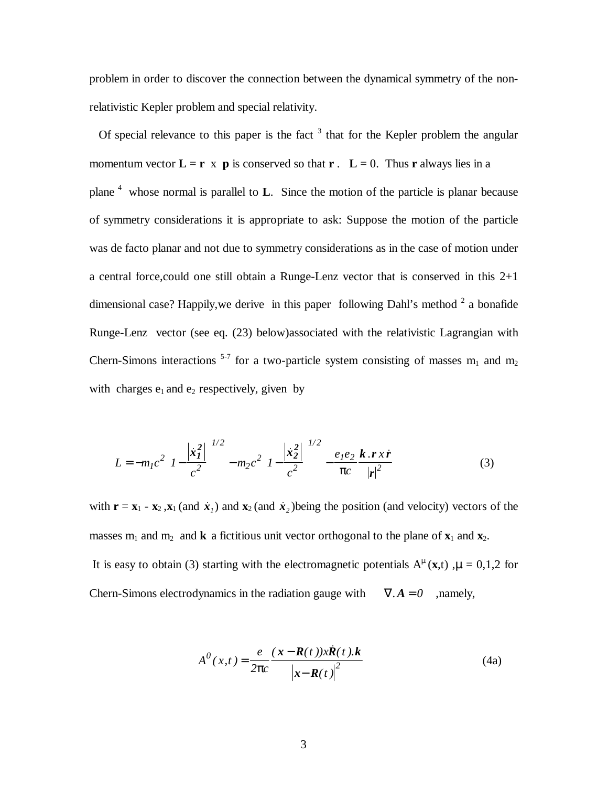problem in order to discover the connection between the dynamical symmetry of the nonrelativistic Kepler problem and special relativity.

Of special relevance to this paper is the fact  $3$  that for the Kepler problem the angular momentum vector  $\mathbf{L} = \mathbf{r} \times \mathbf{p}$  is conserved so that  $\mathbf{r} \cdot \mathbf{L} = 0$ . Thus **r** always lies in a plane 4 whose normal is parallel to **L**. Since the motion of the particle is planar because of symmetry considerations it is appropriate to ask: Suppose the motion of the particle was de facto planar and not due to symmetry considerations as in the case of motion under a central force, could one still obtain a Runge-Lenz vector that is conserved in this  $2+1$ dimensional case? Happily, we derive in this paper following Dahl's method  $2$  a bonafide Runge-Lenz vector (see eq. (23) below)associated with the relativistic Lagrangian with Chern-Simons interactions  $5-7$  for a two-particle system consisting of masses m<sub>1</sub> and m<sub>2</sub> with charges  $e_1$  and  $e_2$  respectively, given by

$$
L = -m_1 c^2 \left( I - \frac{|\dot{x}_1|^2}{c^2} \right)^{1/2} - m_2 c^2 \left( I - \frac{|\dot{x}_2|^2}{c^2} \right)^{1/2} - \frac{e_1 e_2}{\pi c} \frac{k \cdot r \cdot \dot{r}}{|r|^2}
$$
(3)

with  $\mathbf{r} = \mathbf{x}_1 - \mathbf{x}_2$ ,  $\mathbf{x}_1$  (and  $\mathbf{x}_1$ ) and  $\mathbf{x}_2$  (and  $\mathbf{x}_2$ ) being the position (and velocity) vectors of the masses  $m_1$  and  $m_2$  and **k** a fictitious unit vector orthogonal to the plane of  $\mathbf{x}_1$  and  $\mathbf{x}_2$ . It is easy to obtain (3) starting with the electromagnetic potentials  $A^{\mu}(\mathbf{x},t)$ ,  $\mu = 0,1,2$  for Chern-Simons electrodynamics in the radiation gauge with  $\nabla \cdot \mathbf{A} = 0$  , namely,

$$
A^{0}(x,t) = \frac{e}{2\pi c} \frac{(x - R(t))x\ddot{R}(t).k}{|x - R(t)|^{2}}
$$
(4a)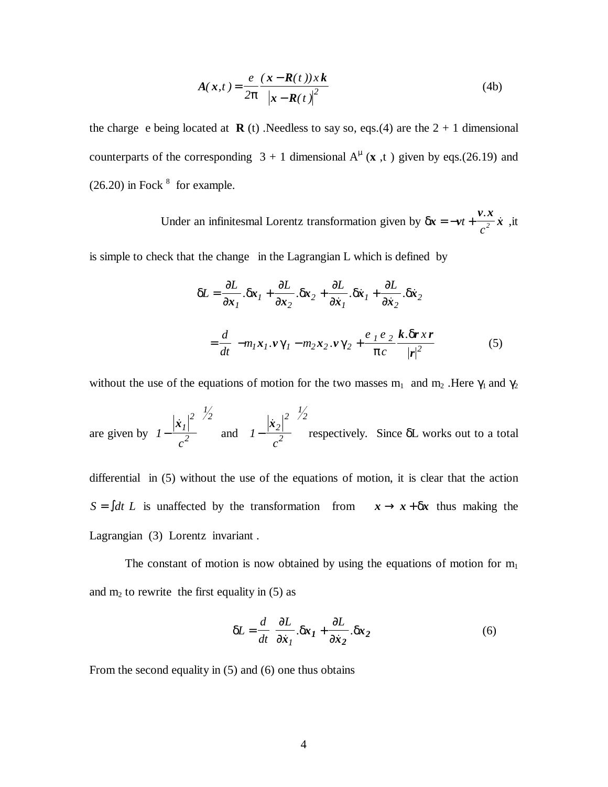$$
A(x,t) = \frac{e}{2\pi} \frac{(x - R(t))xk}{|x - R(t)|^2}
$$
 (4b)

the charge e being located at **R** (t) .Needless to say so, eqs.(4) are the  $2 + 1$  dimensional counterparts of the corresponding  $3 + 1$  dimensional  $A^{\mu}$  (**x**, t) given by eqs.(26.19) and  $(26.20)$  in Fock  $<sup>8</sup>$  for example.</sup>

> Under an infinitesmal Lorentz transformation given by  $\delta x = -v$ *v x*  $=-vt+\frac{1}{2}x$ *c .*  $\frac{1}{2}$  *x* , it

is simple to check that the change in the Lagrangian L which is defined by

$$
\delta L = \frac{\partial L}{\partial x_1} . \delta x_1 + \frac{\partial L}{\partial x_2} . \delta x_2 + \frac{\partial L}{\partial x_1} . \delta x_1 + \frac{\partial L}{\partial x_2} . \delta x_2
$$

$$
= \frac{d}{dt} \left( -m_1 x_1 . \nu \gamma_1 - m_2 x_2 . \nu \gamma_2 + \frac{e_1 e_2}{\pi c} \frac{k . \delta r x r}{|r|^2} \right) \tag{5}
$$

without the use of the equations of motion for the two masses  $m_1$  and  $m_2$ . Here  $\gamma_1$  and  $\gamma_2$ 

are given by 
$$
\left(1 - \frac{|\dot{x}_1|^2}{c^2}\right)^{\frac{1}{2}}
$$
 and  $\left(1 - \frac{|\dot{x}_2|^2}{c^2}\right)^{\frac{1}{2}}$  respectively. Since  $\delta L$  works out to a total

differential in (5) without the use of the equations of motion, it is clear that the action  $S = \int dt L$  is unaffected by the transformation from  $x \to x + \delta x$  thus making the Lagrangian (3) Lorentz invariant .

The constant of motion is now obtained by using the equations of motion for  $m_1$ and  $m_2$  to rewrite the first equality in (5) as

$$
\delta L = \frac{d}{dt} \left( \frac{\partial L}{\partial \dot{x}_1} . \delta x_1 + \frac{\partial L}{\partial \dot{x}_2} . \delta x_2 \right)
$$
 (6)

From the second equality in (5) and (6) one thus obtains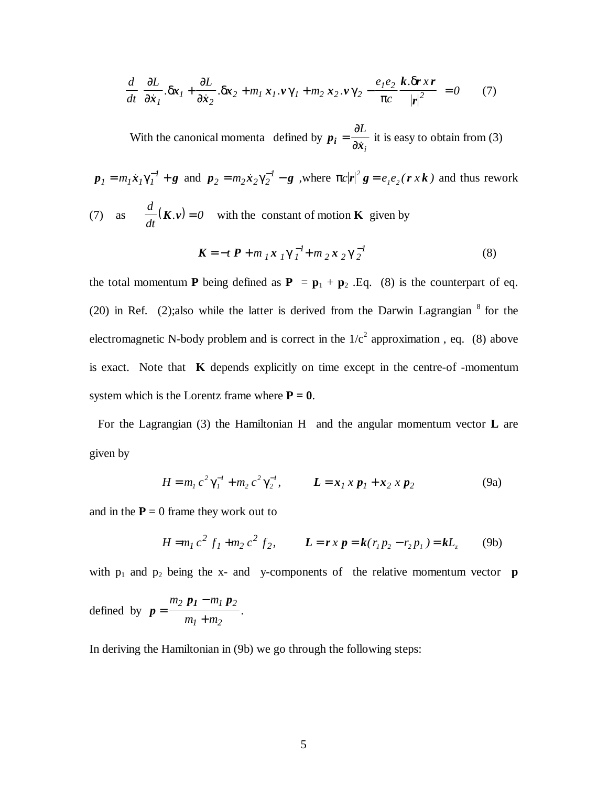$$
\frac{d}{dt}\left(\frac{\partial L}{\partial \dot{x}_1}.\delta x_1 + \frac{\partial L}{\partial \dot{x}_2}.\delta x_2 + m_1 x_1 \cdot \nu \gamma_1 + m_2 x_2 \cdot \nu \gamma_2 - \frac{e_1 e_2}{\pi c} \frac{k.\delta r \cdot xr}{|r|^2}\right) = 0 \tag{7}
$$

 With the canonical momenta defined by *p*  $i = \frac{\partial}{\partial x}$ ∂ ∂ *L i* it is easy to obtain from (3)

 $p_1 = m_1 \dot{x}_1 \gamma_1^{-1} + g$  and  $p_2 = m_2 \dot{x}_2 \gamma_2^{-1} - g$ , where  $\pi c |r|^2 g = e_1 e_2 (r x k)$  and thus rework (7) as  $\frac{d}{dx}(K, v)$ *d dt*  $K \cdot v = 0$  with the constant of motion **K** given by

$$
\mathbf{K} = -t \, \mathbf{P} + m \, \mathbf{I} \, \mathbf{x} \, \mathbf{I} \, \gamma \, \mathbf{I}^{\text{-1}} + m \, \mathbf{I} \, \mathbf{x} \, \mathbf{I} \, \gamma \, \mathbf{I}^{\text{-1}} \tag{8}
$$

the total momentum **P** being defined as  $P = p_1 + p_2$ . Eq. (8) is the counterpart of eq. (20) in Ref. (2);also while the latter is derived from the Darwin Lagrangian  $8$  for the electromagnetic N-body problem and is correct in the  $1/c<sup>2</sup>$  approximation, eq. (8) above is exact. Note that **K** depends explicitly on time except in the centre-of -momentum system which is the Lorentz frame where  $P = 0$ .

For the Lagrangian (3) the Hamiltonian H and the angular momentum vector **L** are given by

$$
H = m_1 c^2 \gamma_1^{-1} + m_2 c^2 \gamma_2^{-1}, \qquad L = x_1 x p_1 + x_2 x p_2 \tag{9a}
$$

and in the  $P = 0$  frame they work out to

$$
H = m_1 c^2 f_1 + m_2 c^2 f_2, \qquad L = r x p = k (r_1 p_2 - r_2 p_1) = k L_z \tag{9b}
$$

with  $p_1$  and  $p_2$  being the x- and y-components of the relative momentum vector **p** 

defined by 
$$
p = \frac{m_2 p_1 - m_1 p_2}{m_1 + m_2}
$$
.

In deriving the Hamiltonian in (9b) we go through the following steps: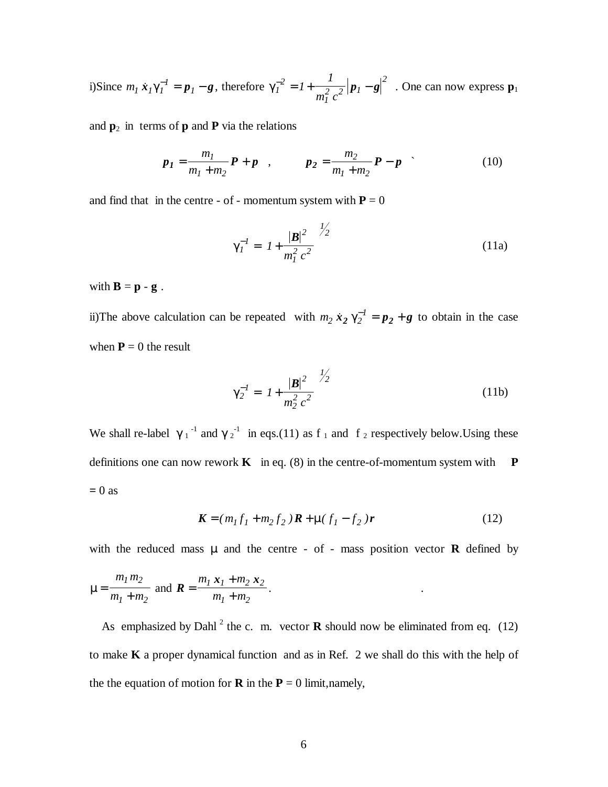i)Since 
$$
m_l \dot{x}_l \gamma_l^{-1} = p_l - g
$$
, therefore  $\gamma_l^{-2} = l + \frac{l}{m_l^2 c^2} |p_l - g|^2$ . One can now express  $\mathbf{p}_1$ 

and  $\mathbf{p}_2$  in terms of  $\mathbf{p}$  and  $\mathbf{P}$  via the relations

$$
p_1 = \frac{m_1}{m_1 + m_2} P + p \quad , \qquad p_2 = \frac{m_2}{m_1 + m_2} P - p \quad . \tag{10}
$$

and find that in the centre - of - momentum system with  $P = 0$ 

$$
\gamma_I^{-1} = \left( I + \frac{|\mathbf{B}|^2}{m_I^2 c^2} \right)^{1/2}
$$
 (11a)

with  $\mathbf{B} = \mathbf{p} - \mathbf{g}$ .

ii)The above calculation can be repeated with  $m_2 \dot{x}_2 \gamma_2^{-1} = p_2 + g$  to obtain in the case when  $P = 0$  the result

$$
\gamma_2^{-1} = \left( I + \frac{|\mathbf{B}|^2}{m_2^2 c^2} \right)^{1/2}
$$
 (11b)

We shall re-label  $\gamma_1^{-1}$  and  $\gamma_2^{-1}$  in eqs.(11) as f<sub>1</sub> and f<sub>2</sub> respectively below. Using these definitions one can now rework  $\bf{K}$  in eq. (8) in the centre-of-momentum system with  $\bf{P}$ **=** 0 as

$$
\mathbf{K} = (m_1 f_1 + m_2 f_2) \mathbf{R} + \mu (f_1 - f_2) \mathbf{r}
$$
 (12)

with the reduced mass  $\mu$  and the centre - of - mass position vector **R** defined by

$$
\mu = \frac{m_1 m_2}{m_1 + m_2} \text{ and } \mathbf{R} = \frac{m_1 \mathbf{x}_1 + m_2 \mathbf{x}_2}{m_1 + m_2}.
$$

As emphasized by Dahl<sup>2</sup> the c. m. vector **R** should now be eliminated from eq. (12) to make **K** a proper dynamical function and as in Ref. 2 we shall do this with the help of the the equation of motion for **R** in the  $P = 0$  limit, namely,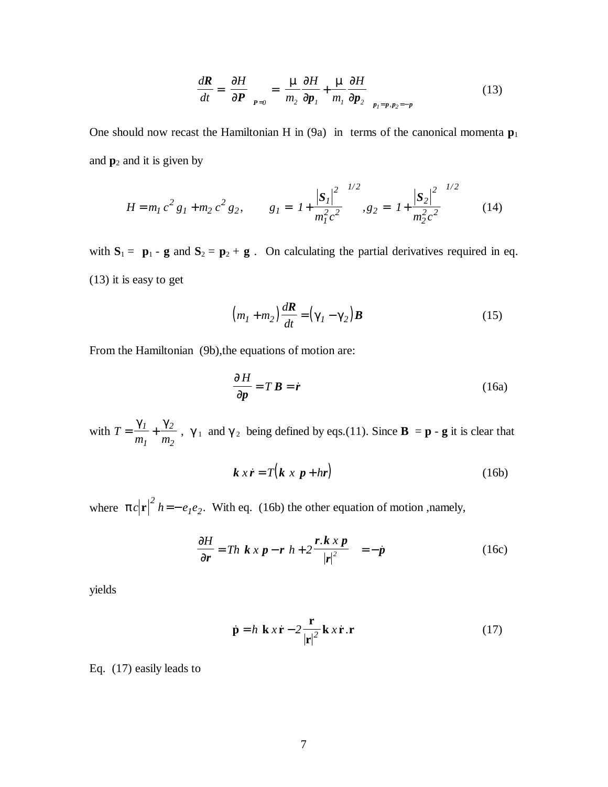$$
\frac{d\mathbf{R}}{dt} = \left(\frac{\partial H}{\partial \mathbf{P}}\right)_{\mathbf{P}=0} = \left(\frac{\mu}{m_2}\frac{\partial H}{\partial \mathbf{p}_1} + \frac{\mu}{m_1}\frac{\partial H}{\partial \mathbf{p}_2}\right)_{p_1 = p, p_2 = -p}
$$
(13)

One should now recast the Hamiltonian H in  $(9a)$  in terms of the canonical momenta  $p_1$ and  $\mathbf{p}_2$  and it is given by

$$
H = m_1 c^2 g_1 + m_2 c^2 g_2, \qquad g_1 = \left( I + \frac{|S_1|^2}{m_1^2 c^2} \right)^{1/2}, g_2 = \left( I + \frac{|S_2|^2}{m_2^2 c^2} \right)^{1/2} \tag{14}
$$

with  $S_1 = p_1 - g$  and  $S_2 = p_2 + g$ . On calculating the partial derivatives required in eq. (13) it is easy to get

$$
\left(m_1 + m_2\right) \frac{d\mathbf{R}}{dt} = \left(\gamma_1 - \gamma_2\right) \mathbf{B} \tag{15}
$$

From the Hamiltonian (9b),the equations of motion are:

$$
\frac{\partial H}{\partial p} = T \, \mathbf{B} = \dot{\mathbf{r}} \tag{16a}
$$

with *T*  $m_l$  *m*  $=\frac{\gamma_1}{\gamma_2}+\frac{\gamma_2}{\gamma_1}$ *1 2 2* ,  $\gamma_1$  and  $\gamma_2$  being defined by eqs.(11). Since **B** = **p** - **g** it is clear that

$$
k x \dot{r} = T(k x p + hr) \tag{16b}
$$

where  $\pi c |\mathbf{r}|^2 h = -e_1 e_2$ . With eq. (16b) the other equation of motion ,namely,

$$
\frac{\partial H}{\partial r} = Th\left(k \times p - r\left(h + 2\frac{r \cdot k \times p}{|r|^2}\right)\right) = -\dot{p}
$$
\n(16c)

yields

$$
\dot{\mathbf{p}} = h \left( \mathbf{k} x \dot{\mathbf{r}} - 2 \frac{\mathbf{r}}{|\mathbf{r}|^2} \mathbf{k} x \dot{\mathbf{r}} . \mathbf{r} \right)
$$
 (17)

Eq. (17) easily leads to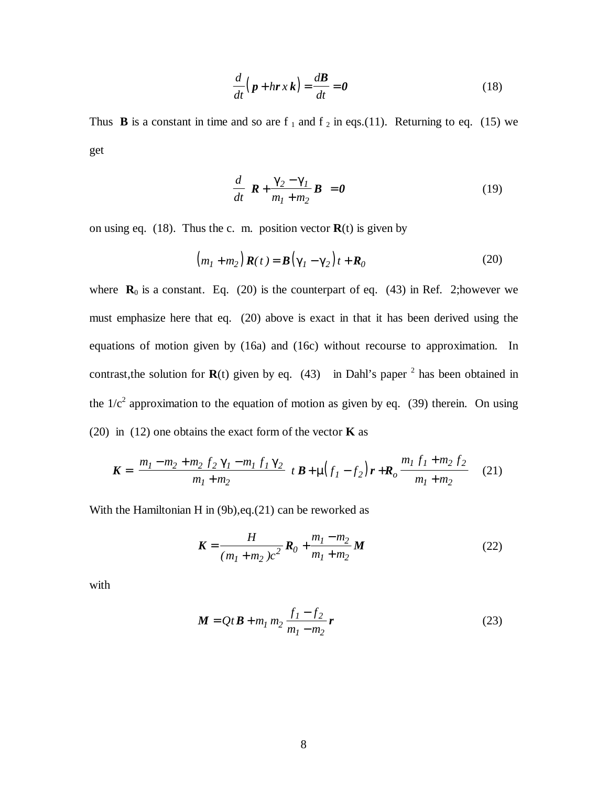$$
\frac{d}{dt}\left(\mathbf{p} + h\mathbf{r}\,x\,\mathbf{k}\right) = \frac{d\mathbf{B}}{dt} = \mathbf{0} \tag{18}
$$

Thus **B** is a constant in time and so are  $f_1$  and  $f_2$  in eqs.(11). Returning to eq. (15) we get

$$
\frac{d}{dt}\left(\boldsymbol{R} + \frac{\gamma_2 - \gamma_1}{m_1 + m_2}\boldsymbol{B}\right) = \boldsymbol{0}
$$
\n(19)

on using eq.  $(18)$ . Thus the c. m. position vector  $\mathbf{R}(t)$  is given by

$$
(m_1 + m_2) \mathbf{R}(t) = \mathbf{B}(\gamma_1 - \gamma_2)t + \mathbf{R}_0
$$
 (20)

where  $\mathbf{R}_0$  is a constant. Eq. (20) is the counterpart of eq. (43) in Ref. 2; however we must emphasize here that eq. (20) above is exact in that it has been derived using the equations of motion given by (16a) and (16c) without recourse to approximation. In contrast, the solution for  $\mathbf{R}(t)$  given by eq. (43) in Dahl's paper <sup>2</sup> has been obtained in the  $1/c^2$  approximation to the equation of motion as given by eq. (39) therein. On using (20) in (12) one obtains the exact form of the vector **K** as

$$
\mathbf{K} = \left(\frac{m_1 - m_2 + m_2 f_2 \gamma_1 - m_1 f_1 \gamma_2}{m_1 + m_2}\right) \mathbf{B} + \mu \left(f_1 - f_2\right) \mathbf{r} + \mathbf{R}_o \frac{m_1 f_1 + m_2 f_2}{m_1 + m_2} \tag{21}
$$

With the Hamiltonian H in (9b),eq.(21) can be reworked as

$$
\mathbf{K} = \frac{H}{(m_1 + m_2)c^2} \mathbf{R}_0 + \frac{m_1 - m_2}{m_1 + m_2} \mathbf{M}
$$
 (22)

with

$$
M = QtB + m_1 m_2 \frac{f_1 - f_2}{m_1 - m_2} r
$$
 (23)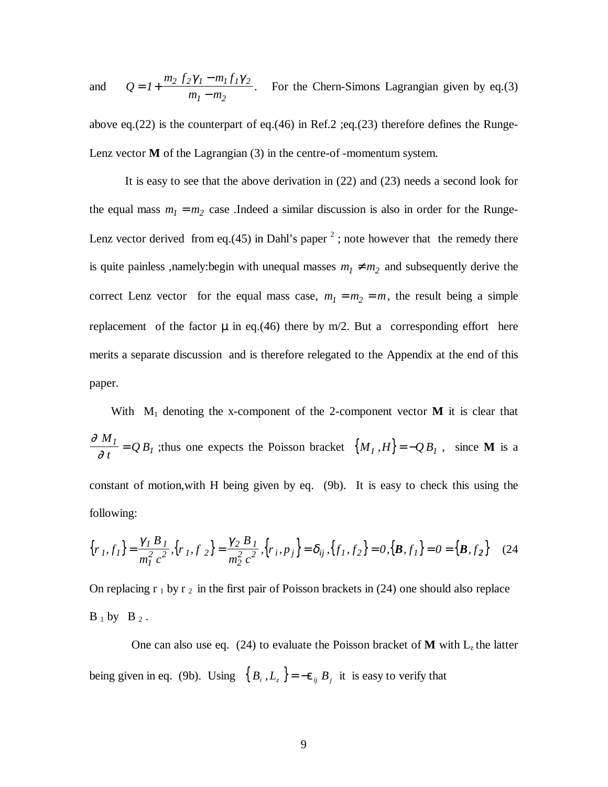and *Q*  $m_2 f_2 \gamma_1 - m_1 f$  $m_l - m$  $= 1 +$ − −  $1 + \frac{m_2 J_2 \gamma_1 - m_1 J_1 \gamma_2}{m_1^2}$  $_1 - m_2$  $\frac{\gamma_1 - m_1 f_1 \gamma_2}{\gamma_1 - m_1 f_1 \gamma_2}$ . For the Chern-Simons Lagrangian given by eq.(3)

above eq.(22) is the counterpart of eq.(46) in Ref.2 ;eq.(23) therefore defines the Runge-Lenz vector **M** of the Lagrangian (3) in the centre-of -momentum system.

It is easy to see that the above derivation in (22) and (23) needs a second look for the equal mass  $m_1 = m_2$  case .Indeed a similar discussion is also in order for the Runge-Lenz vector derived from eq.(45) in Dahl's paper  $^2$ ; note however that the remedy there is quite painless ,namely: begin with unequal masses  $m_1 \neq m_2$  and subsequently derive the correct Lenz vector for the equal mass case,  $m_1 = m_2 = m$ , the result being a simple replacement of the factor  $\mu$  in eq.(46) there by m/2. But a corresponding effort here merits a separate discussion and is therefore relegated to the Appendix at the end of this paper.

With  $M_1$  denoting the x-component of the 2-component vector **M** it is clear that ∂ ∂ *M t*  $Q^I = Q B_I$ ; thus one expects the Poisson bracket  $\{M_I, H\} = -Q B_I$ , since **M** is a constant of motion,with H being given by eq. (9b). It is easy to check this using the following:

$$
\{r_1, f_1\} = \frac{\gamma_I B_I}{m_I^2 c^2}, \{r_1, f_2\} = \frac{\gamma_2 B_I}{m_Z^2 c^2}, \{r_i, p_j\} = \delta_{ij}, \{f_1, f_2\} = 0, \{\mathbf{B}, f_1\} = 0 = \{\mathbf{B}, f_2\}
$$
 (24)

On replacing  $r_1$  by  $r_2$  in the first pair of Poisson brackets in (24) one should also replace  $B_1$  by  $B_2$ .

One can also use eq. (24) to evaluate the Poisson bracket of **M** with  $L_z$  the latter being given in eq. (9b). Using  $\{B_i, L_z\} = -\varepsilon_{ij} B_j$  it is easy to verify that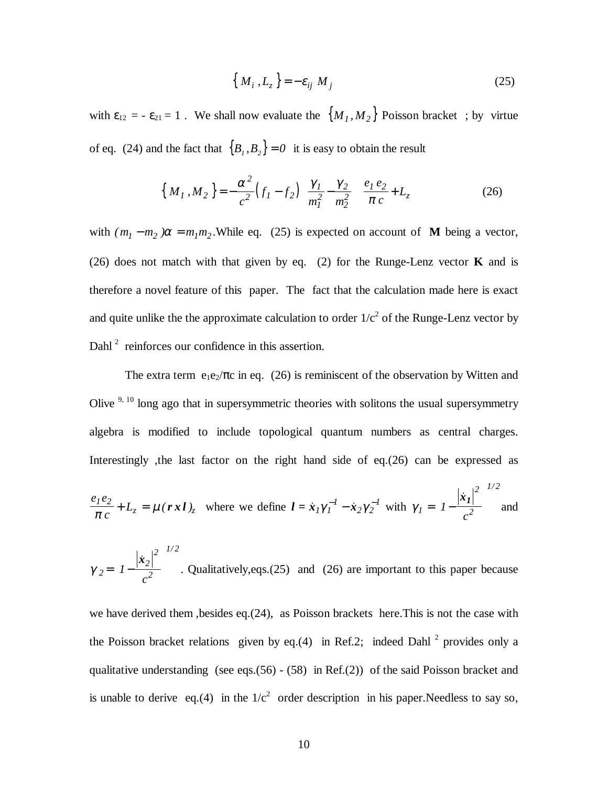$$
\left\{ M_i, L_z \right\} = -\varepsilon_{ij} M_j \tag{25}
$$

with  $\varepsilon_{12} = -\varepsilon_{21} = 1$ . We shall now evaluate the  $\{M_I, M_2\}$  Poisson bracket; by virtue of eq. (24) and the fact that  ${B_1, B_2} = 0$  it is easy to obtain the result

$$
\left\{ M_{1}, M_{2} \right\} = -\frac{\alpha^{2}}{c^{2}} \left( f_{1} - f_{2} \right) \left( \frac{\gamma_{1}}{m_{1}^{2}} - \frac{\gamma_{2}}{m_{2}^{2}} \right) \left( \frac{e_{1} e_{2}}{\pi c} + L_{z} \right)
$$
(26)

with  $(m_1 - m_2) \alpha = m_1 m_2$ . While eq. (25) is expected on account of **M** being a vector, (26) does not match with that given by eq. (2) for the Runge-Lenz vector **K** and is therefore a novel feature of this paper. The fact that the calculation made here is exact and quite unlike the the approximate calculation to order  $1/c<sup>2</sup>$  of the Runge-Lenz vector by Dahl<sup>2</sup> reinforces our confidence in this assertion.

The extra term  $e_1e_2/\pi c$  in eq. (26) is reminiscent of the observation by Witten and Olive  $9,10$  long ago that in supersymmetric theories with solitons the usual supersymmetry algebra is modified to include topological quantum numbers as central charges. Interestingly ,the last factor on the right hand side of eq.(26) can be expressed as

$$
\frac{e_1 e_2}{\pi c} + L_z = \mu \left( \mathbf{r} \mathbf{x} \mathbf{l} \right)_z \quad \text{where we define } \mathbf{l} = \dot{\mathbf{x}}_1 \gamma_1^{-1} - \dot{\mathbf{x}}_2 \gamma_2^{-1} \text{ with } \gamma_1 = \left( I - \frac{\left| \dot{\mathbf{x}}_1 \right|^2}{c^2} \right)^{1/2} \text{ and}
$$

$$
\gamma_2 = \left(1 - \frac{|\dot{x}_2|^2}{c^2}\right)^{1/2}
$$
. Qualitatively, eqs.(25) and (26) are important to this paper because

we have derived them ,besides eq.(24), as Poisson brackets here.This is not the case with the Poisson bracket relations given by eq.(4) in Ref.2; indeed Dahl<sup>2</sup> provides only a qualitative understanding (see eqs.(56) - (58) in Ref.(2)) of the said Poisson bracket and is unable to derive eq.(4) in the  $1/c<sup>2</sup>$  order description in his paper. Needless to say so,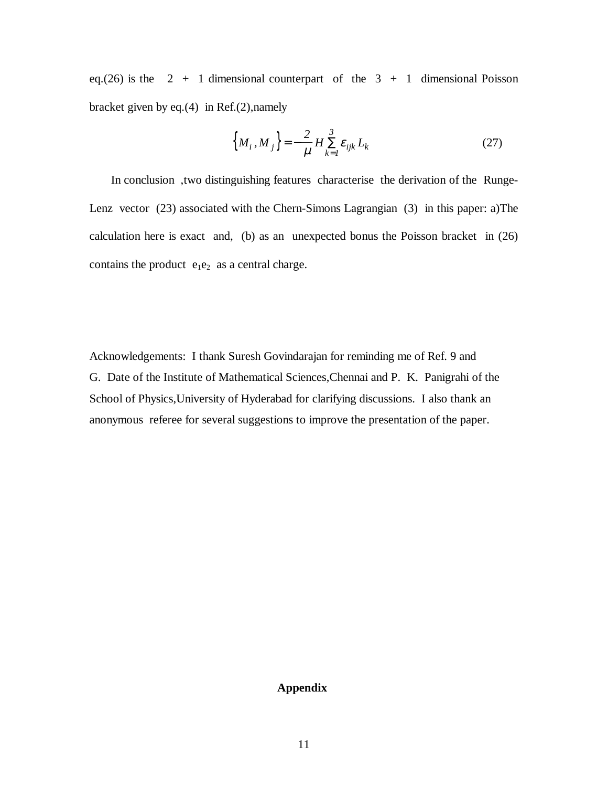eq.(26) is the  $2 + 1$  dimensional counterpart of the  $3 + 1$  dimensional Poisson bracket given by eq.(4) in Ref.(2),namely

$$
\left\{ M_i, M_j \right\} = -\frac{2}{\mu} H \sum_{k=1}^3 \varepsilon_{ijk} L_k \tag{27}
$$

 In conclusion ,two distinguishing features characterise the derivation of the Runge-Lenz vector (23) associated with the Chern-Simons Lagrangian (3) in this paper: a)The calculation here is exact and, (b) as an unexpected bonus the Poisson bracket in (26) contains the product  $e_1e_2$  as a central charge.

Acknowledgements: I thank Suresh Govindarajan for reminding me of Ref. 9 and G. Date of the Institute of Mathematical Sciences,Chennai and P. K. Panigrahi of the School of Physics,University of Hyderabad for clarifying discussions. I also thank an anonymous referee for several suggestions to improve the presentation of the paper.

## **Appendix**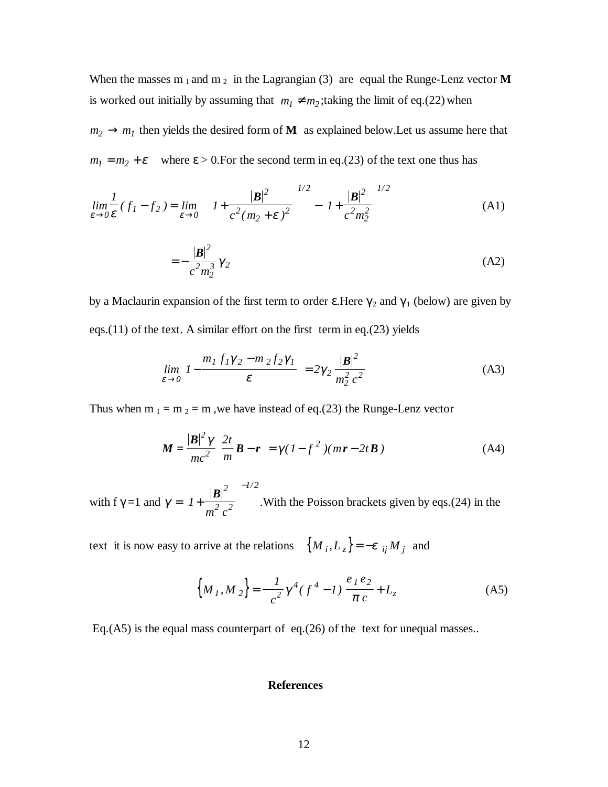When the masses  $m_1$  and  $m_2$  in the Lagrangian (3) are equal the Runge-Lenz vector **M** is worked out initially by assuming that  $m_1 \neq m_2$ ; taking the limit of eq.(22) when  $m_2 \rightarrow m_1$  then yields the desired form of **M** as explained below. Let us assume here that  $m_1 = m_2 + \varepsilon$  where  $\varepsilon > 0$ . For the second term in eq.(23) of the text one thus has

$$
\lim_{\varepsilon \to 0} \frac{1}{\varepsilon} (f_1 - f_2) = \lim_{\varepsilon \to 0} \left\{ \left( 1 + \frac{|\mathbf{B}|^2}{c^2 (m_2 + \varepsilon)^2} \right)^{1/2} - \left( 1 + \frac{|\mathbf{B}|^2}{c^2 m_2^2} \right)^{1/2} \right\}
$$
(A1)

$$
=-\frac{|\mathbf{B}|^2}{c^2 m_2^3} \gamma_2
$$
 (A2)

by a Maclaurin expansion of the first term to order  $\varepsilon$ . Here  $\gamma_2$  and  $\gamma_1$  (below) are given by eqs.(11) of the text. A similar effort on the first term in eq.(23) yields

$$
\lim_{\varepsilon \to 0} \left( I - \frac{m_1 f_1 \gamma_2 - m_2 f_2 \gamma_1}{\varepsilon} \right) = 2 \gamma_2 \frac{|\mathbf{B}|^2}{m_2^2 c^2}
$$
 (A3)

Thus when m  $_1 = m_2 = m$ , we have instead of eq.(23) the Runge-Lenz vector

$$
\mathbf{M} = \frac{|\mathbf{B}|^2 \gamma}{mc^2} \left(\frac{2t}{m} \mathbf{B} - \mathbf{r}\right) = \gamma (1 - f^2) (mr - 2t \mathbf{B})
$$
\n(A4)

with f  $\gamma = 1$  and  $\gamma = |I +$ ſ l I  $\overline{\phantom{a}}$  $\overline{1}$  − *1 2 2 2*  $|B|^2$   $\bigcap^{-1/2}$  $m<sup>2</sup>$  *c /* .With the Poisson brackets given by eqs.(24) in the

text it is now easy to arrive at the relations  $\{M_i, L_z\} = -\varepsilon_{ij} M_j$  and

$$
\left\{M_{1}, M_{2}\right\} = -\frac{1}{c^{2}}\gamma^{4}(f^{4} - I)\left(\frac{e_{1}e_{2}}{\pi c} + L_{z}\right)
$$
 (A5)

Eq.(A5) is the equal mass counterpart of eq.(26) of the text for unequal masses..

## **References**